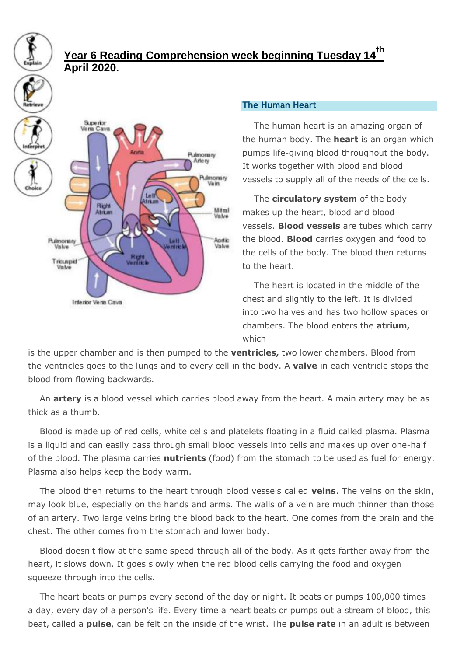## **Year 6 Reading Comprehension week beginning Tuesday 14th April 2020.**



## **The Human Heart**

The human heart is an amazing organ of the human body. The **heart** is an organ which pumps life-giving blood throughout the body. It works together with blood and blood vessels to supply all of the needs of the cells.

The **circulatory system** of the body makes up the heart, blood and blood vessels. **Blood vessels** are tubes which carry the blood. **Blood** carries oxygen and food to the cells of the body. The blood then returns to the heart.

The heart is located in the middle of the chest and slightly to the left. It is divided into two halves and has two hollow spaces or chambers. The blood enters the **atrium,** which

is the upper chamber and is then pumped to the **ventricles,** two lower chambers. Blood from the ventricles goes to the lungs and to every cell in the body. A **valve** in each ventricle stops the blood from flowing backwards.

An **artery** is a blood vessel which carries blood away from the heart. A main artery may be as thick as a thumb.

Blood is made up of red cells, white cells and platelets floating in a fluid called plasma. Plasma is a liquid and can easily pass through small blood vessels into cells and makes up over one-half of the blood. The plasma carries **nutrients** (food) from the stomach to be used as fuel for energy. Plasma also helps keep the body warm.

The blood then returns to the heart through blood vessels called **veins**. The veins on the skin, may look blue, especially on the hands and arms. The walls of a vein are much thinner than those of an artery. Two large veins bring the blood back to the heart. One comes from the brain and the chest. The other comes from the stomach and lower body.

Blood doesn't flow at the same speed through all of the body. As it gets farther away from the heart, it slows down. It goes slowly when the red blood cells carrying the food and oxygen squeeze through into the cells.

The heart beats or pumps every second of the day or night. It beats or pumps 100,000 times a day, every day of a person's life. Every time a heart beats or pumps out a stream of blood, this beat, called a **pulse**, can be felt on the inside of the wrist. The **pulse rate** in an adult is between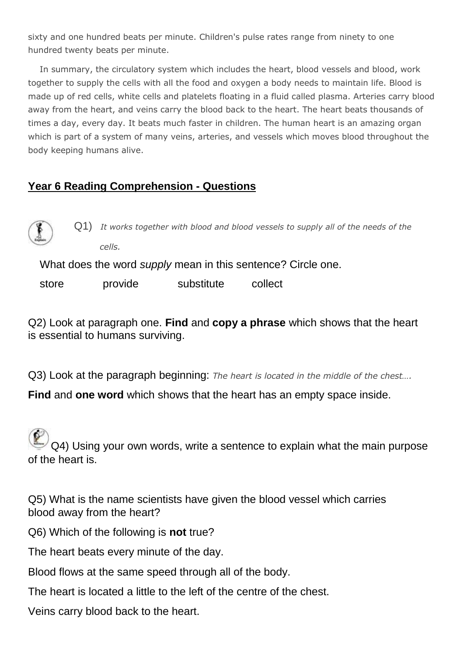sixty and one hundred beats per minute. Children's pulse rates range from ninety to one hundred twenty beats per minute.

In summary, the circulatory system which includes the heart, blood vessels and blood, work together to supply the cells with all the food and oxygen a body needs to maintain life. Blood is made up of red cells, white cells and platelets floating in a fluid called plasma. Arteries carry blood away from the heart, and veins carry the blood back to the heart. The heart beats thousands of times a day, every day. It beats much faster in children. The human heart is an amazing organ which is part of a system of many veins, arteries, and vessels which moves blood throughout the body keeping humans alive.

## **Year 6 Reading Comprehension - Questions**



Q1) *It works together with blood and blood vessels to supply all of the needs of the cells.*

What does the word *supply* mean in this sentence? Circle one.

store **provide** substitute collect

Q2) Look at paragraph one. **Find** and **copy a phrase** which shows that the heart is essential to humans surviving.

Q3) Look at the paragraph beginning: *The heart is located in the middle of the chest….*

**Find** and **one word** which shows that the heart has an empty space inside.

Q4) Using your own words, write a sentence to explain what the main purpose of the heart is.

Q5) What is the name scientists have given the blood vessel which carries blood away from the heart?

Q6) Which of the following is **not** true?

The heart beats every minute of the day.

Blood flows at the same speed through all of the body.

The heart is located a little to the left of the centre of the chest.

Veins carry blood back to the heart.